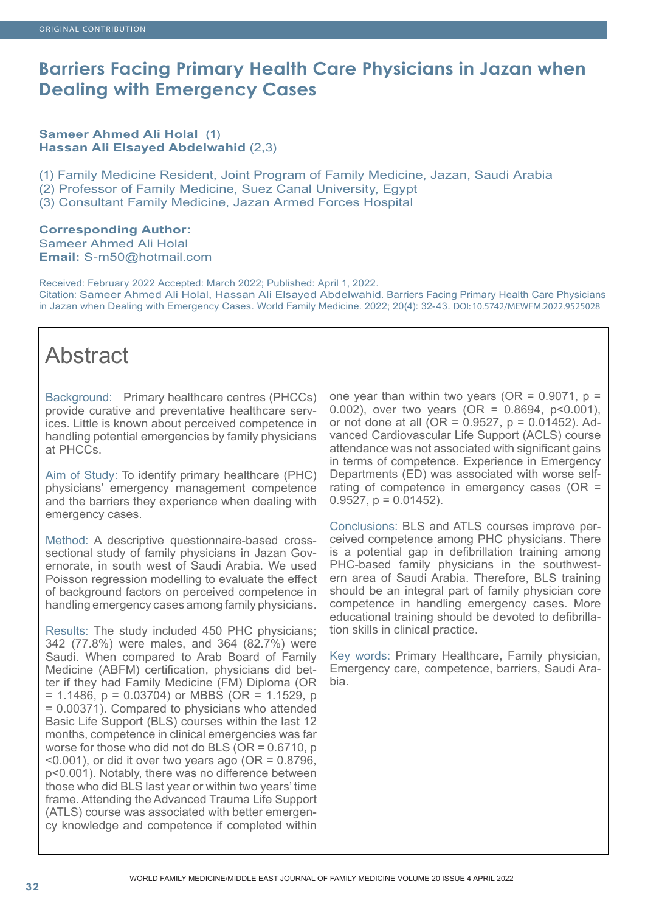# **Barriers Facing Primary Health Care Physicians in Jazan when Dealing with Emergency Cases**

# **Sameer Ahmed Ali Holal** (1) **Hassan Ali Elsayed Abdelwahid** (2,3)

(1) Family Medicine Resident, Joint Program of Family Medicine, Jazan, Saudi Arabia

(2) Professor of Family Medicine, Suez Canal University, Egypt

(3) Consultant Family Medicine, Jazan Armed Forces Hospital

**Corresponding Author:** Sameer Ahmed Ali Holal **Email:** S-m50@hotmail.com

Received: February 2022 Accepted: March 2022; Published: April 1, 2022. Citation: Sameer Ahmed Ali Holal, Hassan Ali Elsayed Abdelwahid. Barriers Facing Primary Health Care Physicians in Jazan when Dealing with Emergency Cases. World Family Medicine. 2022; 20(4): 32-43. DOI: 10.5742/MEWFM.2022.9525028 

# Abstract

Background: Primary healthcare centres (PHCCs) provide curative and preventative healthcare services. Little is known about perceived competence in handling potential emergencies by family physicians at PHCCs.

Aim of Study: To identify primary healthcare (PHC) physicians' emergency management competence and the barriers they experience when dealing with emergency cases.

Method: A descriptive questionnaire-based crosssectional study of family physicians in Jazan Governorate, in south west of Saudi Arabia. We used Poisson regression modelling to evaluate the effect of background factors on perceived competence in handling emergency cases among family physicians.

Results: The study included 450 PHC physicians; 342 (77.8%) were males, and 364 (82.7%) were Saudi. When compared to Arab Board of Family Medicine (ABFM) certification, physicians did better if they had Family Medicine (FM) Diploma (OR  $= 1.1486$ ,  $p = 0.03704$ ) or MBBS (OR = 1.1529, p = 0.00371). Compared to physicians who attended Basic Life Support (BLS) courses within the last 12 months, competence in clinical emergencies was far worse for those who did not do BLS (OR = 0.6710, p  $\leq$  0.001), or did it over two years ago (OR = 0.8796, p<0.001). Notably, there was no difference between those who did BLS last year or within two years' time frame. Attending the Advanced Trauma Life Support (ATLS) course was associated with better emergency knowledge and competence if completed within one year than within two years ( $OR = 0.9071$ ,  $p =$ 0.002), over two years (OR = 0.8694, p<0.001), or not done at all (OR =  $0.9527$ ,  $p = 0.01452$ ). Advanced Cardiovascular Life Support (ACLS) course attendance was not associated with significant gains in terms of competence. Experience in Emergency Departments (ED) was associated with worse selfrating of competence in emergency cases (OR = 0.9527,  $p = 0.01452$ ).

Conclusions: BLS and ATLS courses improve perceived competence among PHC physicians. There is a potential gap in defibrillation training among PHC-based family physicians in the southwestern area of Saudi Arabia. Therefore, BLS training should be an integral part of family physician core competence in handling emergency cases. More educational training should be devoted to defibrillation skills in clinical practice.

Key words: Primary Healthcare, Family physician, Emergency care, competence, barriers, Saudi Arabia.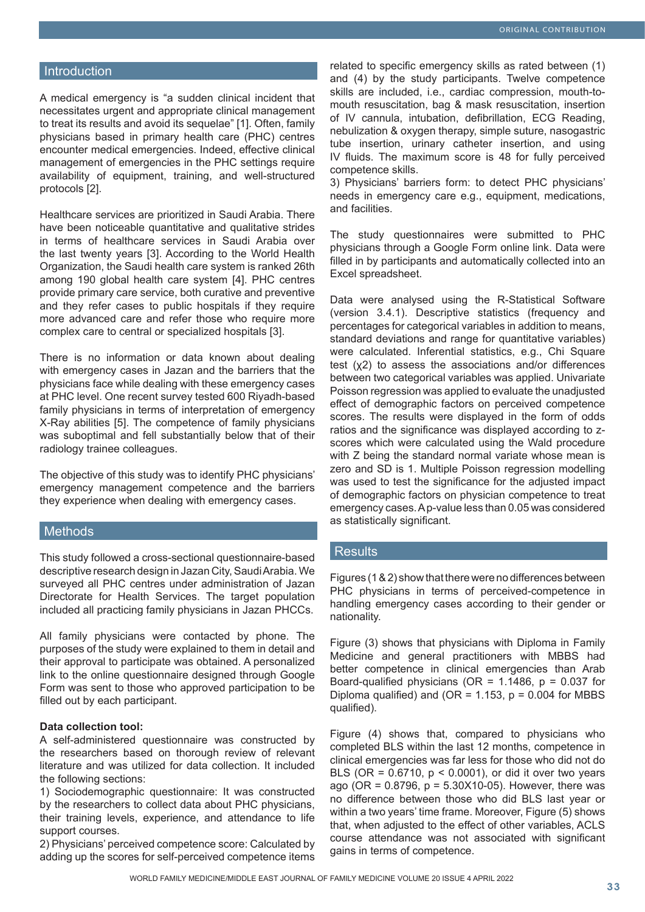#### **Introduction**

A medical emergency is "a sudden clinical incident that necessitates urgent and appropriate clinical management to treat its results and avoid its sequelae" [1]. Often, family physicians based in primary health care (PHC) centres encounter medical emergencies. Indeed, effective clinical management of emergencies in the PHC settings require availability of equipment, training, and well-structured protocols [2].

Healthcare services are prioritized in Saudi Arabia. There have been noticeable quantitative and qualitative strides in terms of healthcare services in Saudi Arabia over the last twenty years [3]. According to the World Health Organization, the Saudi health care system is ranked 26th among 190 global health care system [4]. PHC centres provide primary care service, both curative and preventive and they refer cases to public hospitals if they require more advanced care and refer those who require more complex care to central or specialized hospitals [3].

There is no information or data known about dealing with emergency cases in Jazan and the barriers that the physicians face while dealing with these emergency cases at PHC level. One recent survey tested 600 Riyadh-based family physicians in terms of interpretation of emergency X-Ray abilities [5]. The competence of family physicians was suboptimal and fell substantially below that of their radiology trainee colleagues.

The objective of this study was to identify PHC physicians' emergency management competence and the barriers they experience when dealing with emergency cases.

#### Methods

This study followed a cross-sectional questionnaire-based descriptive research design in Jazan City, Saudi Arabia. We surveyed all PHC centres under administration of Jazan Directorate for Health Services. The target population included all practicing family physicians in Jazan PHCCs.

All family physicians were contacted by phone. The purposes of the study were explained to them in detail and their approval to participate was obtained. A personalized link to the online questionnaire designed through Google Form was sent to those who approved participation to be filled out by each participant.

#### **Data collection tool:**

A self-administered questionnaire was constructed by the researchers based on thorough review of relevant literature and was utilized for data collection. It included the following sections:

1) Sociodemographic questionnaire: It was constructed by the researchers to collect data about PHC physicians, their training levels, experience, and attendance to life support courses.

2) Physicians' perceived competence score: Calculated by adding up the scores for self-perceived competence items related to specific emergency skills as rated between (1) and (4) by the study participants. Twelve competence skills are included, i.e., cardiac compression, mouth-tomouth resuscitation, bag & mask resuscitation, insertion of IV cannula, intubation, defibrillation, ECG Reading, nebulization & oxygen therapy, simple suture, nasogastric tube insertion, urinary catheter insertion, and using IV fluids. The maximum score is 48 for fully perceived competence skills.

3) Physicians' barriers form: to detect PHC physicians' needs in emergency care e.g., equipment, medications, and facilities.

The study questionnaires were submitted to PHC physicians through a Google Form online link. Data were filled in by participants and automatically collected into an Excel spreadsheet.

Data were analysed using the R-Statistical Software (version 3.4.1). Descriptive statistics (frequency and percentages for categorical variables in addition to means, standard deviations and range for quantitative variables) were calculated. Inferential statistics, e.g., Chi Square test (χ2) to assess the associations and/or differences between two categorical variables was applied. Univariate Poisson regression was applied to evaluate the unadjusted effect of demographic factors on perceived competence scores. The results were displayed in the form of odds ratios and the significance was displayed according to zscores which were calculated using the Wald procedure with Z being the standard normal variate whose mean is zero and SD is 1. Multiple Poisson regression modelling was used to test the significance for the adjusted impact of demographic factors on physician competence to treat emergency cases. A p-value less than 0.05 was considered as statistically significant.

#### **Results**

Figures (1 & 2) show that there were no differences between PHC physicians in terms of perceived-competence in handling emergency cases according to their gender or nationality.

Figure (3) shows that physicians with Diploma in Family Medicine and general practitioners with MBBS had better competence in clinical emergencies than Arab Board-qualified physicians ( $OR = 1.1486$ ,  $p = 0.037$  for Diploma qualified) and (OR =  $1.153$ ,  $p = 0.004$  for MBBS qualified).

Figure (4) shows that, compared to physicians who completed BLS within the last 12 months, competence in clinical emergencies was far less for those who did not do BLS (OR =  $0.6710$ ,  $p < 0.0001$ ), or did it over two years ago (OR = 0.8796, p = 5.30X10-05). However, there was no difference between those who did BLS last year or within a two years' time frame. Moreover, Figure (5) shows that, when adjusted to the effect of other variables, ACLS course attendance was not associated with significant gains in terms of competence.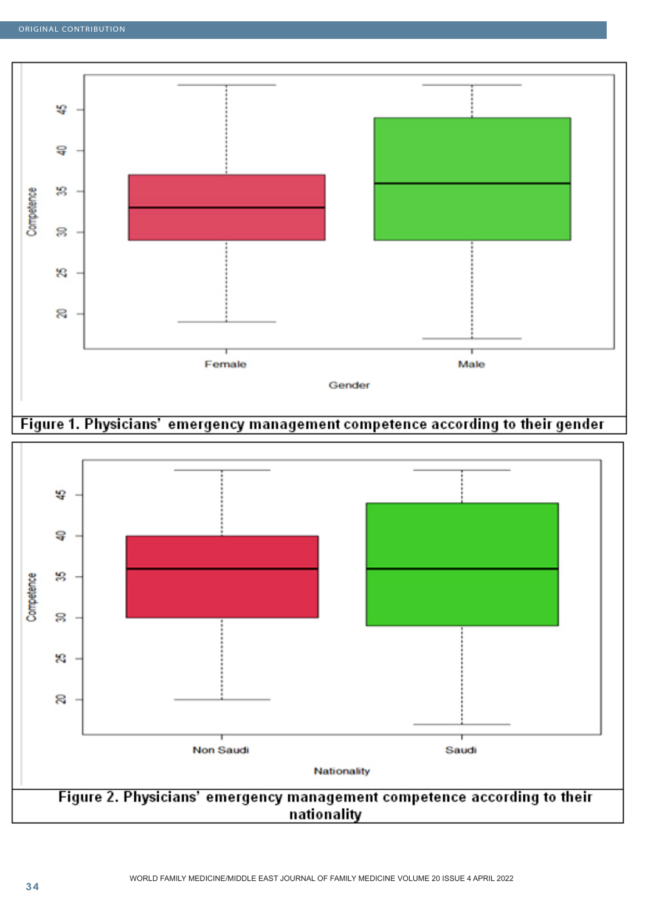



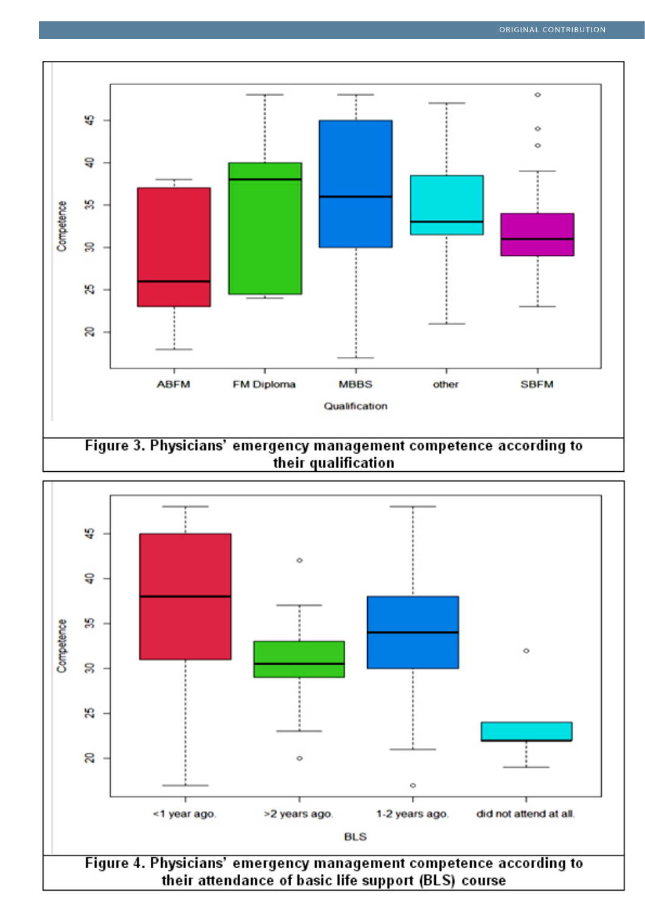

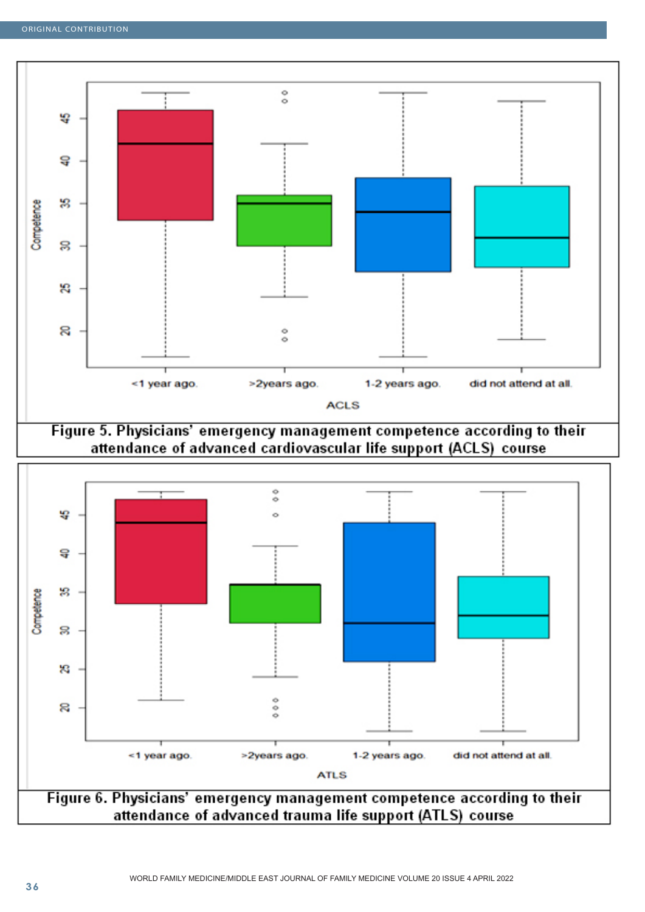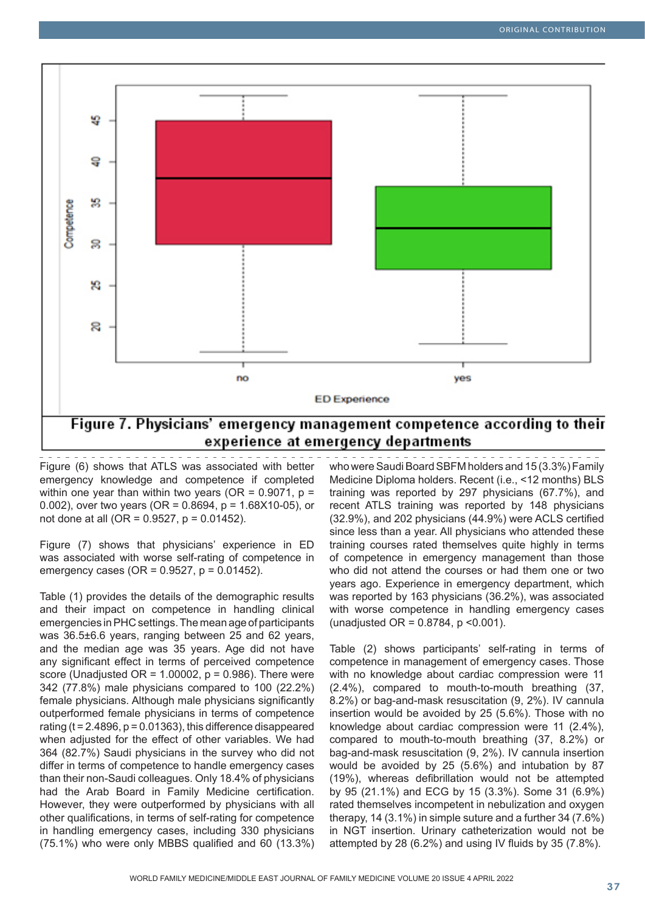

experience at emergency departments

Figure (6) shows that ATLS was associated with better emergency knowledge and competence if completed within one year than within two years ( $OR = 0.9071$ ,  $p =$ 0.002), over two years (OR = 0.8694, p = 1.68X10-05), or not done at all  $(OR = 0.9527, p = 0.01452)$ .

Figure (7) shows that physicians' experience in ED was associated with worse self-rating of competence in emergency cases (OR =  $0.9527$ ,  $p = 0.01452$ ).

Table (1) provides the details of the demographic results and their impact on competence in handling clinical emergencies in PHC settings. The mean age of participants was 36.5±6.6 years, ranging between 25 and 62 years, and the median age was 35 years. Age did not have any significant effect in terms of perceived competence score (Unadjusted OR =  $1.00002$ ,  $p = 0.986$ ). There were 342 (77.8%) male physicians compared to 100 (22.2%) female physicians. Although male physicians significantly outperformed female physicians in terms of competence rating ( $t = 2.4896$ ,  $p = 0.01363$ ), this difference disappeared when adjusted for the effect of other variables. We had 364 (82.7%) Saudi physicians in the survey who did not differ in terms of competence to handle emergency cases than their non-Saudi colleagues. Only 18.4% of physicians had the Arab Board in Family Medicine certification. However, they were outperformed by physicians with all other qualifications, in terms of self-rating for competence in handling emergency cases, including 330 physicians (75.1%) who were only MBBS qualified and 60 (13.3%)

who were Saudi Board SBFM holders and 15 (3.3%) Family Medicine Diploma holders. Recent (i.e., <12 months) BLS training was reported by 297 physicians (67.7%), and recent ATLS training was reported by 148 physicians (32.9%), and 202 physicians (44.9%) were ACLS certified since less than a year. All physicians who attended these training courses rated themselves quite highly in terms of competence in emergency management than those who did not attend the courses or had them one or two years ago. Experience in emergency department, which was reported by 163 physicians (36.2%), was associated with worse competence in handling emergency cases (unadjusted OR = 0.8784, p <0.001).

Table (2) shows participants' self-rating in terms of competence in management of emergency cases. Those with no knowledge about cardiac compression were 11 (2.4%), compared to mouth-to-mouth breathing (37, 8.2%) or bag-and-mask resuscitation (9, 2%). IV cannula insertion would be avoided by 25 (5.6%). Those with no knowledge about cardiac compression were 11 (2.4%), compared to mouth-to-mouth breathing (37, 8.2%) or bag-and-mask resuscitation (9, 2%). IV cannula insertion would be avoided by 25 (5.6%) and intubation by 87 (19%), whereas defibrillation would not be attempted by 95 (21.1%) and ECG by 15 (3.3%). Some 31 (6.9%) rated themselves incompetent in nebulization and oxygen therapy, 14 (3.1%) in simple suture and a further 34 (7.6%) in NGT insertion. Urinary catheterization would not be attempted by 28 (6.2%) and using IV fluids by 35 (7.8%).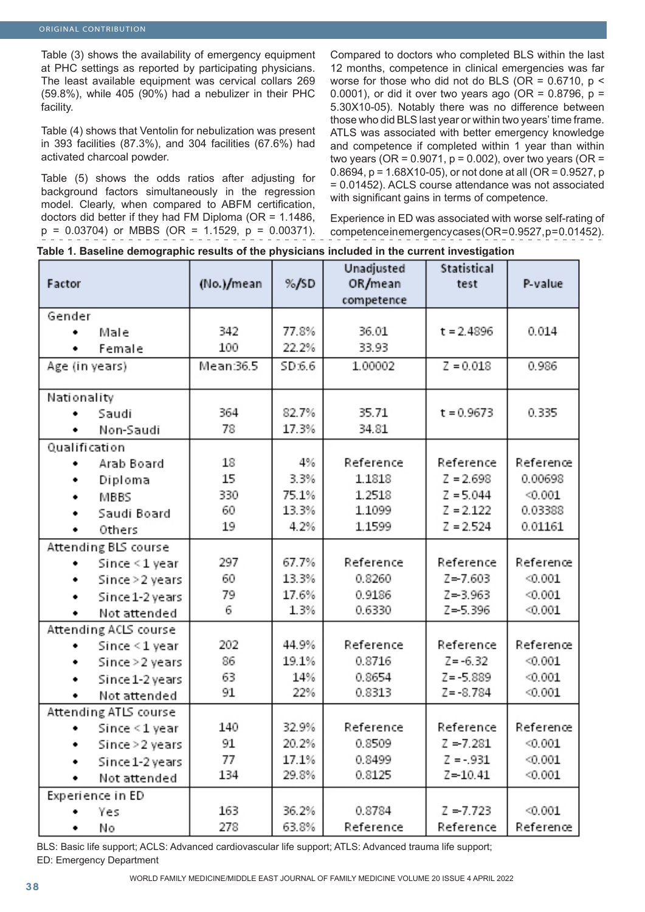Table (3) shows the availability of emergency equipment at PHC settings as reported by participating physicians. The least available equipment was cervical collars 269 (59.8%), while 405 (90%) had a nebulizer in their PHC facility.

Table (4) shows that Ventolin for nebulization was present in 393 facilities (87.3%), and 304 facilities (67.6%) had activated charcoal powder.

Table (5) shows the odds ratios after adjusting for background factors simultaneously in the regression model. Clearly, when compared to ABFM certification, doctors did better if they had FM Diploma (OR = 1.1486,  $p = 0.03704$ ) or MBBS (OR = 1.1529,  $p = 0.00371$ ).

Compared to doctors who completed BLS within the last 12 months, competence in clinical emergencies was far worse for those who did not do BLS (OR =  $0.6710$ , p < 0.0001), or did it over two vears ago (OR =  $0.8796$ , p = 5.30X10-05). Notably there was no difference between those who did BLS last year or within two years' time frame. ATLS was associated with better emergency knowledge and competence if completed within 1 year than within two years (OR =  $0.9071$ ,  $p = 0.002$ ), over two years (OR = 0.8694, p = 1.68X10-05), or not done at all (OR = 0.9527, p = 0.01452). ACLS course attendance was not associated with significant gains in terms of competence.

Experience in ED was associated with worse self-rating of competence in emergency cases (OR = 0.9527, p = 0.01452).

| Factor                | (No.)/mean | %/SD   | Unadjusted<br>OR/mean | Statistical<br>test | P-value   |
|-----------------------|------------|--------|-----------------------|---------------------|-----------|
|                       |            |        | competence            |                     |           |
| Gender                |            |        |                       |                     |           |
| Male                  | 342        | 77.8%  | 36.01                 | $t = 2.4896$        | 0.014     |
| Female<br>٠           | 100        | 22.2%  | 33.93                 |                     |           |
| Age (in years)        | Mean:36.5  | SD:6.6 | 1.00002               | $Z = 0.018$         | 0.986     |
| Nationality           |            |        |                       |                     |           |
| Saudi                 | 364        | 82.7%  | 35.71                 | $t = 0.9673$        | 0.335     |
| Non-Saudi             | 78         | 17.3%  | 34.81                 |                     |           |
| Qualification         |            |        |                       |                     |           |
| Arab Board            | 18         | 4%     | Reference             | Reference           | Reference |
| Diploma<br>٠          | 15         | 3.3%   | 1.1818                | $Z = 2.698$         | 0.00698   |
| MBBS<br>٠             | 330        | 75.1%  | 1.2518                | $Z = 5.044$         | 0.001     |
| Saudi Board           | 60         | 13.3%  | 1.1099                | $Z = 2.122$         | 0.03388   |
| Others<br>٠           | 19         | 4.2%   | 1.1599                | $Z = 2.524$         | 0.01161   |
| Attending BLS course  |            |        |                       |                     |           |
| Since < 1 year<br>٠   | 297        | 67.7%  | Reference             | Reference           | Reference |
| Since > 2 years<br>٠  | 60         | 13.3%  | 0.8260                | $Z = 7.603$         | < 0.001   |
| Since 1-2 years<br>٠  | 79         | 17.6%  | 0.9186                | $Z = 3.963$         | < 0.001   |
| Not attended<br>٠     | 6          | 1.3%   | 0.6330                | $Z = 5.396$         | 0.001     |
| Attending ACLS course |            |        |                       |                     |           |
| Since < 1 year        | 202        | 44.9%  | Reference             | Reference           | Reference |
| Since > 2 years<br>٠  | 86         | 19.1%  | 0.8716                | $Z = -6.32$         | 0.001     |
| Since 1-2 years<br>٠  | 63         | 14%    | 0.8654                | $Z = -5.889$        | 0.001     |
| Not attended<br>٠     | 91         | 22%    | 0.8313                | $Z = -8.784$        | 0.001     |
| Attending ATLS course |            |        |                       |                     |           |
| Since < 1 year        | 140        | 32.9%  | Reference             | Reference           | Reference |
| Since > 2 years<br>٠  | 91         | 20.2%  | 0.8509                | Z = 7.281           | < 0.001   |
| Since 1-2 years       | 77         | 17.1%  | 0.8499                | $Z = -.931$         | 0.001     |
| Not attended<br>٠     | 134        | 29.8%  | 0.8125                | $Z = 10.41$         | 0.001     |
| Experience in ED      |            |        |                       |                     |           |
| Yes                   | 163        | 36.2%  | 0.8784                | $Z = 7.723$         | 0.001     |
| Νo<br>٠               | 278        | 63.8%  | Reference             | Reference           | Reference |

|  |  |  |  |  |  |  | Table 1. Baseline demographic results of the physicians included in the current investigation |
|--|--|--|--|--|--|--|-----------------------------------------------------------------------------------------------|
|--|--|--|--|--|--|--|-----------------------------------------------------------------------------------------------|

BLS: Basic life support; ACLS: Advanced cardiovascular life support; ATLS: Advanced trauma life support; ED: Emergency Department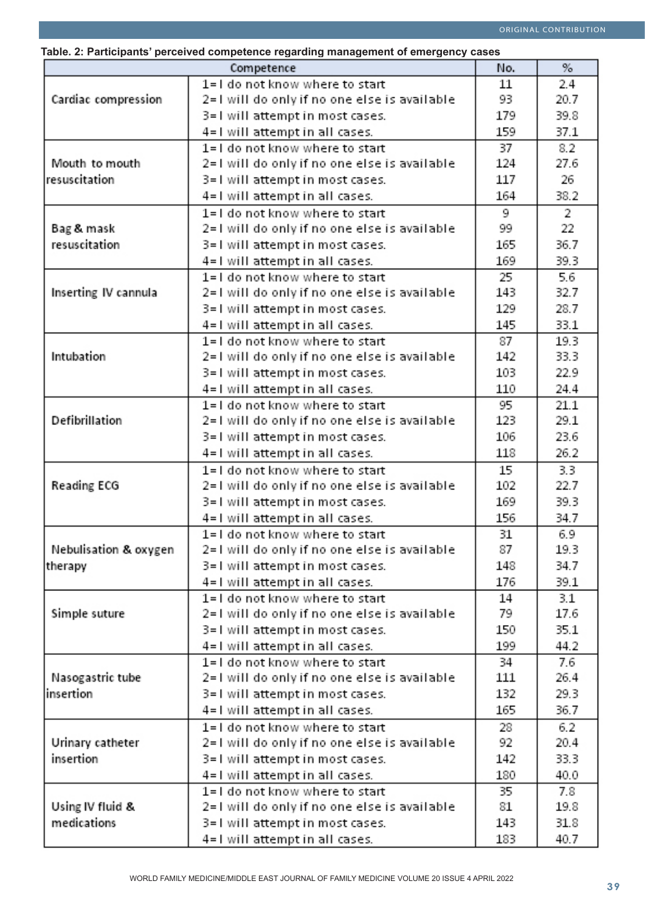## **Table. 2: Participants' perceived competence regarding management of emergency cases**

| %<br>No.<br>Competence |                                                                                  |          |             |  |  |  |
|------------------------|----------------------------------------------------------------------------------|----------|-------------|--|--|--|
|                        | 1=1 do not know where to start                                                   | 11       | 2.4         |  |  |  |
| Cardiac compression    | 2= I will do only if no one else is available                                    | 93       | 20.7        |  |  |  |
|                        | 3=1 will attempt in most cases.                                                  | 179      | 39.8        |  |  |  |
|                        | 4=1 will attempt in all cases.                                                   | 159      | 37.1        |  |  |  |
|                        | 1=1 do not know where to start                                                   | 37       | 8.2         |  |  |  |
| Mouth to mouth         | 2= I will do only if no one else is available                                    | 124      | 27.6        |  |  |  |
| resuscitation          | 3=1 will attempt in most cases.                                                  | 117      | 26          |  |  |  |
|                        | 4=1 will attempt in all cases.                                                   | 164      | 38.2        |  |  |  |
|                        | 1=1 do not know where to start                                                   | 9        | 2           |  |  |  |
| Bag & mask             | 2= I will do only if no one else is available                                    | 99       | 22          |  |  |  |
| resuscitation          | 3=1 will attempt in most cases.                                                  | 165      | 36.7        |  |  |  |
|                        | 4=1 will attempt in all cases.                                                   | 169      | 39.3        |  |  |  |
|                        | 1=1 do not know where to start                                                   | 25       | 5.6         |  |  |  |
| Inserting IV cannula   | 2= I will do only if no one else is available                                    | 143      | 32.7        |  |  |  |
|                        | 3=1 will attempt in most cases.                                                  | 129      | 28.7        |  |  |  |
|                        | 4=1 will attempt in all cases.                                                   | 145      | 33.1        |  |  |  |
|                        | 1=1 do not know where to start                                                   | 87       | 19.3        |  |  |  |
| Intubation             | 2= I will do only if no one else is available                                    | 142      | 33.3        |  |  |  |
|                        | 3=1 will attempt in most cases.                                                  | 103      | 22.9        |  |  |  |
|                        | 4=1 will attempt in all cases.                                                   | 110      | 24.4        |  |  |  |
|                        | 1=1 do not know where to start                                                   | 95       | 21.1        |  |  |  |
| Defibrillation         | 2= I will do only if no one else is available                                    | 123      | 29.1        |  |  |  |
|                        | 3=1 will attempt in most cases.                                                  | 106      | 23.6        |  |  |  |
|                        | 4=1 will attempt in all cases.                                                   | 118      | 26.2        |  |  |  |
|                        | 1=1 do not know where to start                                                   | 15       | 3.3         |  |  |  |
| <b>Reading ECG</b>     | 2= I will do only if no one else is available                                    | 102      | 22.7        |  |  |  |
|                        | 3=1 will attempt in most cases.                                                  | 169      | 39.3        |  |  |  |
|                        | 4=1 will attempt in all cases.                                                   | 156      | 34.7        |  |  |  |
|                        | 1=1 do not know where to start                                                   | 31       | 6.9         |  |  |  |
| Nebulisation & oxygen  | 2= I will do only if no one else is available                                    | 87       | 19.3        |  |  |  |
| therapy                | 3=1 will attempt in most cases.                                                  | 148      | 34.7        |  |  |  |
|                        | 4=1 will attempt in all cases.                                                   | 176      | 39.1        |  |  |  |
|                        | 1=1 do not know where to start                                                   | 14       | 3.1         |  |  |  |
| Simple suture          | 2= I will do only if no one else is available                                    | 79       | 17.6        |  |  |  |
|                        | 3=1 will attempt in most cases.                                                  | 150      | 35.1        |  |  |  |
|                        | 4=1 will attempt in all cases.                                                   | 199      | 44.2        |  |  |  |
|                        | 1=1 do not know where to start                                                   | 34       | 7.6         |  |  |  |
| Nasogastric tube       | 2= I will do only if no one else is available                                    | 111      | 26.4        |  |  |  |
| linsertion             | 3=1 will attempt in most cases.                                                  | 132      | 29.3        |  |  |  |
|                        | 4=1 will attempt in all cases.                                                   | 165      | 36.7        |  |  |  |
|                        | 1=1 do not know where to start                                                   | 28       | 6.2         |  |  |  |
| Urinary catheter       | 2= I will do only if no one else is available                                    | 92       | 20.4        |  |  |  |
| insertion              | 3=1 will attempt in most cases.                                                  | 142      | 33.3        |  |  |  |
|                        |                                                                                  |          |             |  |  |  |
|                        | 4=1 will attempt in all cases.<br>1=1 do not know where to start                 | 180      | 40.0        |  |  |  |
| Using IV fluid &       |                                                                                  | 35<br>81 | 7.8<br>19.8 |  |  |  |
| medications            | 2= I will do only if no one else is available<br>3=1 will attempt in most cases. | 143      | 31.8        |  |  |  |
|                        |                                                                                  | 183      | 40.7        |  |  |  |
|                        | 4=1 will attempt in all cases.                                                   |          |             |  |  |  |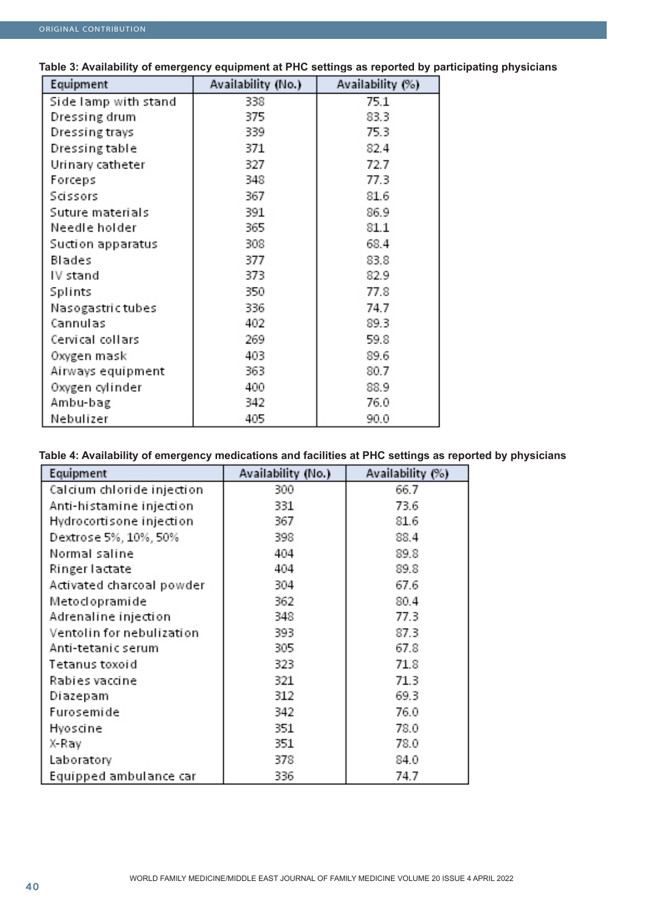| Equipment            | Availability (No.) | Availability (%) |
|----------------------|--------------------|------------------|
| Side lamp with stand | 338                | 75.1             |
| Dressing drum        | 375                | 83.3             |
| Dressing trays       | 339                | 75.3             |
| Dressing table       | 371                | 82.4             |
| Urinary catheter     | 327                | 72.7             |
| Forceps              | 348                | 77.3             |
| Scissors             | 367                | 81.6             |
| Suture materials     | 391                | 86.9             |
| Needle holder        | 365                | 81.1             |
| Suction apparatus    | 308                | 68.4             |
| Blades               | 377                | 83.8             |
| IV stand             | 373                | 82.9             |
| Splints              | 350                | 77.8             |
| Nasogastric tubes    | 336                | 74.7             |
| Cannulas             | 402                | 89.3             |
| Cervical collars     | 269                | 59.8             |
| Oxygen mask          | 403                | 89.6             |
| Airways equipment    | 363                | 80.7             |
| Oxygen cylinder      | 400                | 88.9             |
| Ambu-bag             | 342                | 76.0             |
| Nebulizer            | 405                | 90.0             |

**Table 3: Availability of emergency equipment at PHC settings as reported by participating physicians**

# **Table 4: Availability of emergency medications and facilities at PHC settings as reported by physicians**

| Equipment                  | Availability (No.) | Availability (%) |  |
|----------------------------|--------------------|------------------|--|
| Calcium chloride injection | 300                | 66.7             |  |
| Anti-histamine injection   | 331                | 73.6             |  |
| Hydrocortisone injection   | 367                | 81.6             |  |
| Dextrose 5%, 10%, 50%      | 398                | 88.4             |  |
| Normal saline              | 404                | 89.8             |  |
| Ringer lactate             | 404                | 89.8             |  |
| Activated charcoal powder  | 304                | 67.6             |  |
| Metoclopramide             | 362                | 80.4             |  |
| Adrenaline injection       | 348                | 77.3             |  |
| Ventolin for nebulization  | 393                | 87.3             |  |
| Anti-tetanic serum         | 305                | 67.8             |  |
| Tetanus toxoid             | 323                | 71.8             |  |
| Rabies vaccine             | 321                | 71.3             |  |
| Diazepam                   | 312                | 69.3             |  |
| Furosemide                 | 342                | 76.0             |  |
| Hyoscine                   | 351                | 78.0             |  |
| X-Ray                      | 351                | 78.0             |  |
| Laboratory                 | 378                | 84.0             |  |
| Equipped ambulance car     | 336                | 74.7             |  |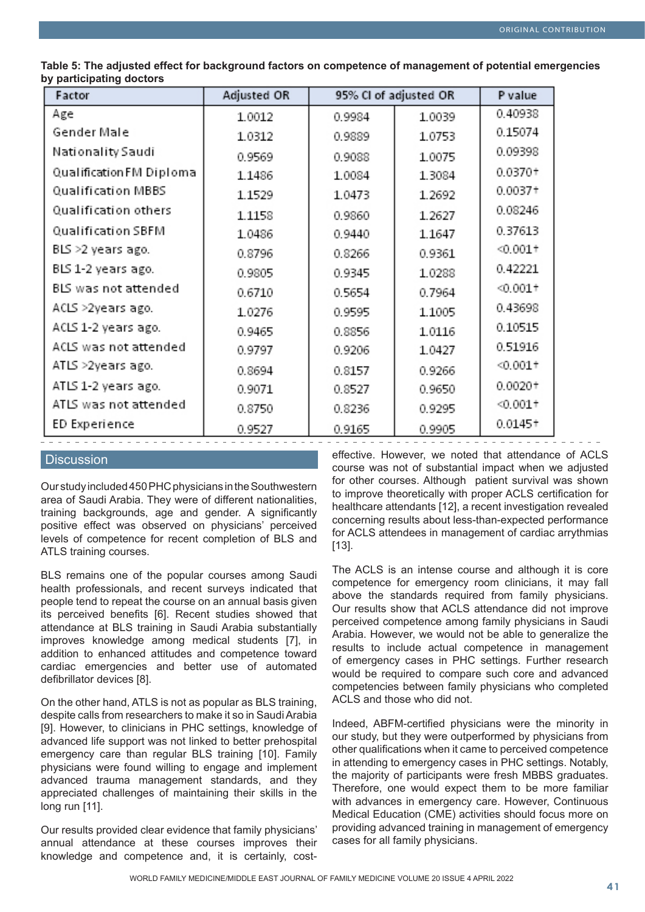| Factor                   | Adjusted OR | 95% CI of adjusted OR |        | P value     |
|--------------------------|-------------|-----------------------|--------|-------------|
| Age                      | 1.0012      | 0.9984                | 1.0039 | 0.40938     |
| Gender Male              | 1.0312      | 0.9889                | 1.0753 | 0.15074     |
| Nationality Saudi        | 0.9569      | 0.9088                | 1.0075 | 0.09398     |
| Qualification FM Diploma | 1.1486      | 1.0084                | 1.3084 | $0.0370 +$  |
| Qualification MBBS       | 1.1529      | 1.0473                | 1.2692 | $0.0037 +$  |
| Qualification others     | 1.1158      | 0.9860                | 1.2627 | 0.08246     |
| Qualification SBFM       | 1.0486      | 0.9440                | 1.1647 | 0.37613     |
| BLS >2 years ago.        | 0.8796      | 0.8266                | 0.9361 | $< 0.001 +$ |
| BLS 1-2 years ago.       | 0.9805      | 0.9345                | 1.0288 | 0.42221     |
| BLS was not attended     | 0.6710      | 0.5654                | 0.7964 | $-0.001 +$  |
| ACLS >2years ago.        | 1.0276      | 0.9595                | 1.1005 | 0.43698     |
| ACLS 1-2 years ago.      | 0.9465      | 0.8856                | 1.0116 | 0.10515     |
| ACLS was not attended    | 0.9797      | 0.9206                | 1.0427 | 0.51916     |
| ATLS >2years ago.        | 0.8694      | 0.8157                | 0.9266 | $-0.001 +$  |
| ATLS 1-2 years ago.      | 0.9071      | 0.8527                | 0.9650 | $0.0020 +$  |
| ATLS was not attended    | 0.8750      | 0.8236                | 0.9295 | $0.001 +$   |
| ED Experience            | 0.9527      | 0.9165                | 0.9905 | $0.0145 +$  |

**Table 5: The adjusted effect for background factors on competence of management of potential emergencies by participating doctors**

#### **Discussion**

Our study included 450 PHC physicians in the Southwestern area of Saudi Arabia. They were of different nationalities, training backgrounds, age and gender. A significantly positive effect was observed on physicians' perceived levels of competence for recent completion of BLS and ATLS training courses.

BLS remains one of the popular courses among Saudi health professionals, and recent surveys indicated that people tend to repeat the course on an annual basis given its perceived benefits [6]. Recent studies showed that attendance at BLS training in Saudi Arabia substantially improves knowledge among medical students [7], in addition to enhanced attitudes and competence toward cardiac emergencies and better use of automated defibrillator devices [8].

On the other hand, ATLS is not as popular as BLS training, despite calls from researchers to make it so in Saudi Arabia [9]. However, to clinicians in PHC settings, knowledge of advanced life support was not linked to better prehospital emergency care than regular BLS training [10]. Family physicians were found willing to engage and implement advanced trauma management standards, and they appreciated challenges of maintaining their skills in the long run [11].

Our results provided clear evidence that family physicians' annual attendance at these courses improves their knowledge and competence and, it is certainly, cost-

effective. However, we noted that attendance of ACLS course was not of substantial impact when we adjusted for other courses. Although patient survival was shown to improve theoretically with proper ACLS certification for healthcare attendants [12], a recent investigation revealed concerning results about less-than-expected performance for ACLS attendees in management of cardiac arrythmias [13].

The ACLS is an intense course and although it is core competence for emergency room clinicians, it may fall above the standards required from family physicians. Our results show that ACLS attendance did not improve perceived competence among family physicians in Saudi Arabia. However, we would not be able to generalize the results to include actual competence in management of emergency cases in PHC settings. Further research would be required to compare such core and advanced competencies between family physicians who completed ACLS and those who did not.

Indeed, ABFM-certified physicians were the minority in our study, but they were outperformed by physicians from other qualifications when it came to perceived competence in attending to emergency cases in PHC settings. Notably, the majority of participants were fresh MBBS graduates. Therefore, one would expect them to be more familiar with advances in emergency care. However, Continuous Medical Education (CME) activities should focus more on providing advanced training in management of emergency cases for all family physicians.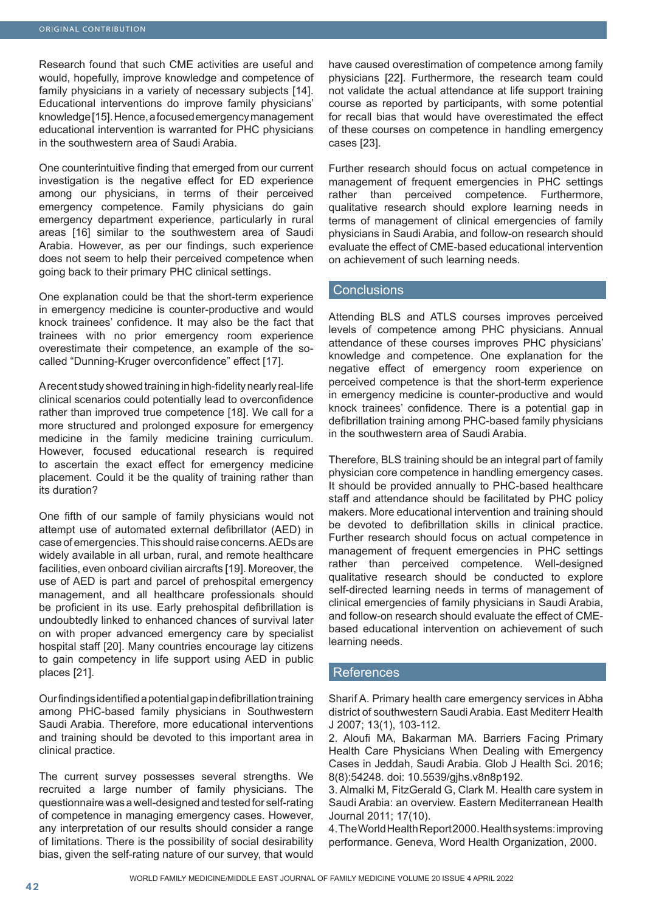Research found that such CME activities are useful and would, hopefully, improve knowledge and competence of family physicians in a variety of necessary subjects [14]. Educational interventions do improve family physicians' knowledge [15]. Hence, a focused emergency management educational intervention is warranted for PHC physicians in the southwestern area of Saudi Arabia.

One counterintuitive finding that emerged from our current investigation is the negative effect for ED experience among our physicians, in terms of their perceived emergency competence. Family physicians do gain emergency department experience, particularly in rural areas [16] similar to the southwestern area of Saudi Arabia. However, as per our findings, such experience does not seem to help their perceived competence when going back to their primary PHC clinical settings.

One explanation could be that the short-term experience in emergency medicine is counter-productive and would knock trainees' confidence. It may also be the fact that trainees with no prior emergency room experience overestimate their competence, an example of the socalled "Dunning-Kruger overconfidence" effect [17].

A recent study showed training in high-fidelity nearly real-life clinical scenarios could potentially lead to overconfidence rather than improved true competence [18]. We call for a more structured and prolonged exposure for emergency medicine in the family medicine training curriculum. However, focused educational research is required to ascertain the exact effect for emergency medicine placement. Could it be the quality of training rather than its duration?

One fifth of our sample of family physicians would not attempt use of automated external defibrillator (AED) in case of emergencies. This should raise concerns. AEDs are widely available in all urban, rural, and remote healthcare facilities, even onboard civilian aircrafts [19]. Moreover, the use of AED is part and parcel of prehospital emergency management, and all healthcare professionals should be proficient in its use. Early prehospital defibrillation is undoubtedly linked to enhanced chances of survival later on with proper advanced emergency care by specialist hospital staff [20]. Many countries encourage lay citizens to gain competency in life support using AED in public places [21].

Our findings identified a potential gap in defibrillation training among PHC-based family physicians in Southwestern Saudi Arabia. Therefore, more educational interventions and training should be devoted to this important area in clinical practice.

The current survey possesses several strengths. We recruited a large number of family physicians. The questionnaire was a well-designed and tested for self-rating of competence in managing emergency cases. However, any interpretation of our results should consider a range of limitations. There is the possibility of social desirability bias, given the self-rating nature of our survey, that would have caused overestimation of competence among family physicians [22]. Furthermore, the research team could not validate the actual attendance at life support training course as reported by participants, with some potential for recall bias that would have overestimated the effect of these courses on competence in handling emergency cases [23].

Further research should focus on actual competence in management of frequent emergencies in PHC settings rather than perceived competence. Furthermore, qualitative research should explore learning needs in terms of management of clinical emergencies of family physicians in Saudi Arabia, and follow-on research should evaluate the effect of CME-based educational intervention on achievement of such learning needs.

# **Conclusions**

Attending BLS and ATLS courses improves perceived levels of competence among PHC physicians. Annual attendance of these courses improves PHC physicians' knowledge and competence. One explanation for the negative effect of emergency room experience on perceived competence is that the short-term experience in emergency medicine is counter-productive and would knock trainees' confidence. There is a potential gap in defibrillation training among PHC-based family physicians in the southwestern area of Saudi Arabia.

Therefore, BLS training should be an integral part of family physician core competence in handling emergency cases. It should be provided annually to PHC-based healthcare staff and attendance should be facilitated by PHC policy makers. More educational intervention and training should be devoted to defibrillation skills in clinical practice. Further research should focus on actual competence in management of frequent emergencies in PHC settings rather than perceived competence. Well-designed qualitative research should be conducted to explore self-directed learning needs in terms of management of clinical emergencies of family physicians in Saudi Arabia, and follow-on research should evaluate the effect of CMEbased educational intervention on achievement of such learning needs.

### References

Sharif A. Primary health care emergency services in Abha district of southwestern Saudi Arabia. East Mediterr Health J 2007; 13(1), 103-112.

2. Aloufi MA, Bakarman MA. Barriers Facing Primary Health Care Physicians When Dealing with Emergency Cases in Jeddah, Saudi Arabia. Glob J Health Sci. 2016; 8(8):54248. doi: 10.5539/gjhs.v8n8p192.

3. Almalki M, FitzGerald G, Clark M. Health care system in Saudi Arabia: an overview. Eastern Mediterranean Health Journal 2011; 17(10).

4. The World Health Report 2000. Health systems: improving performance. Geneva, Word Health Organization, 2000.